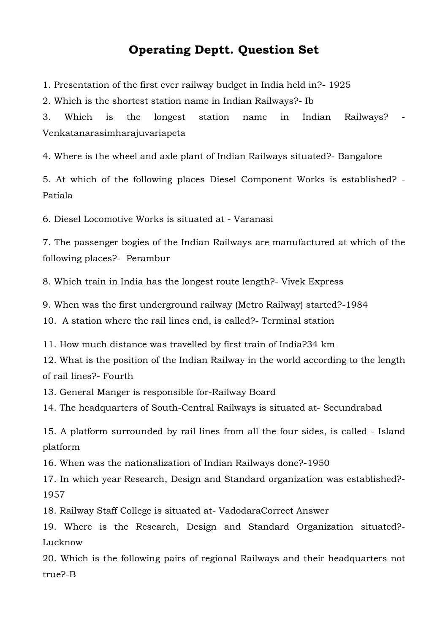## **Operating Deptt. Question Set**

1. Presentation of the first ever railway budget in India held in?- 1925

2. Which is the shortest station name in Indian Railways?- Ib

3. Which is the longest station name in Indian Railways? Venkatanarasimharajuvariapeta

4. Where is the wheel and axle plant of Indian Railways situated?- Bangalore

5. At which of the following places Diesel Component Works is established? - Patiala

6. Diesel Locomotive Works is situated at - Varanasi

7. The passenger bogies of the Indian Railways are manufactured at which of the following places?- Perambur

8. Which train in India has the longest route length?- Vivek Express

9. When was the first underground railway (Metro Railway) started?-1984

10. A station where the rail lines end, is called?- Terminal station

11. How much distance was travelled by first train of India?34 km

12. What is the position of the Indian Railway in the world according to the length of rail lines?- Fourth

13. General Manger is responsible for-Railway Board

14. The headquarters of South-Central Railways is situated at- Secundrabad

15. A platform surrounded by rail lines from all the four sides, is called - Island platform

16. When was the nationalization of Indian Railways done?-1950

17. In which year Research, Design and Standard organization was established?- 1957

18. Railway Staff College is situated at- Vadodar[aCorrect Answer](javascript:%20return%20null;)

19. Where is the Research, Design and Standard Organization situated?- Lucknow

20. Which is the following pairs of regional Railways and their headquarters not true?-B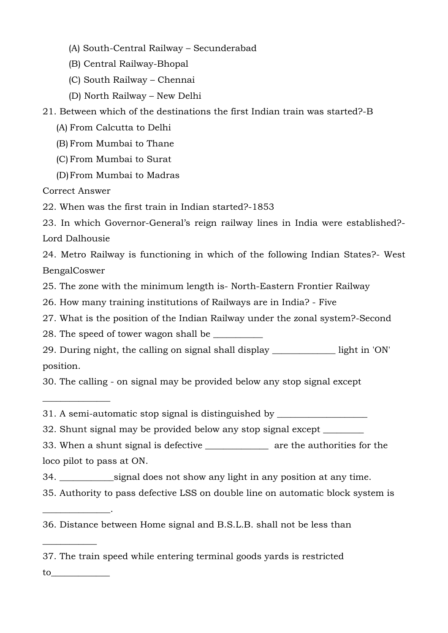- (A) South-Central Railway Secunderabad
- (B) Central Railway-Bhopal
- (C) South Railway Chennai
- (D) North Railway New Delhi

21. Between which of the destinations the first Indian train was started?-B

- (A) From Calcutta to Delhi
- (B) From Mumbai to Thane
- (C) From Mumbai to Surat
- (D)From Mumbai to Madras

[Correct Answer](javascript:%20return%20null;)

 $\overline{\phantom{a}}$  , where  $\overline{\phantom{a}}$ 

\_\_\_\_\_\_\_\_\_\_\_\_\_\_\_.

 $\overline{\phantom{a}}$  , where  $\overline{\phantom{a}}$ 

22. When was the first train in Indian started?-1853

23. In which Governor-General's reign railway lines in India were established?- Lord Dalhousie

24. Metro Railway is functioning in which of the following Indian States?- West Benga[lCoswer](javascript:%20return%20null;)

25. The zone with the minimum length is- North-Eastern Frontier Railway

26. How many training institutions of Railways are in India? - Five

27. What is the position of the Indian Railway under the zonal system?-Second

28. The speed of tower wagon shall be

29. During night, the calling on signal shall display \_\_\_\_\_\_\_\_\_\_\_\_\_\_ light in 'ON' position.

30. The calling - on signal may be provided below any stop signal except

31. A semi-automatic stop signal is distinguished by \_\_\_\_\_\_\_\_\_\_\_\_\_\_\_\_\_\_\_\_\_\_\_\_\_\_\_

32. Shunt signal may be provided below any stop signal except \_\_\_\_\_\_\_\_\_

33. When a shunt signal is defective \_\_\_\_\_\_\_\_\_\_\_\_\_\_ are the authorities for the loco pilot to pass at ON.

- 34. \_\_\_\_\_\_\_\_\_\_\_\_signal does not show any light in any position at any time.
- 35. Authority to pass defective LSS on double line on automatic block system is

36. Distance between Home signal and B.S.L.B. shall not be less than

37. The train speed while entering terminal goods yards is restricted to\_\_\_\_\_\_\_\_\_\_\_\_\_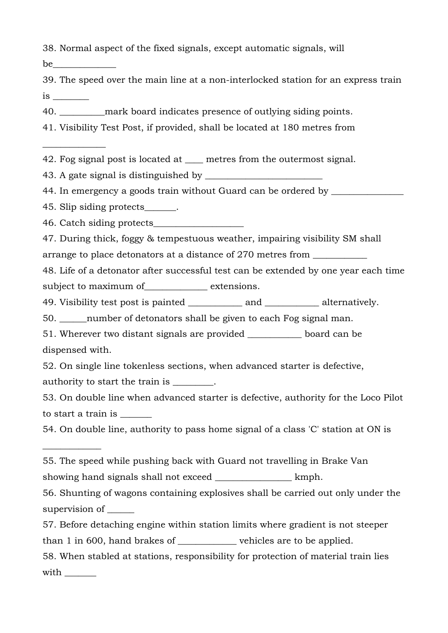38. Normal aspect of the fixed signals, except automatic signals, will

be

 $\overline{\phantom{a}}$ 

 $\overline{\phantom{a}}$ 

39. The speed over the main line at a non-interlocked station for an express train is \_\_\_\_\_\_\_\_

40. **Example 20.** The mark board indicates presence of outlying siding points.

41. Visibility Test Post, if provided, shall be located at 180 metres from

42. Fog signal post is located at <u>equal</u> metres from the outermost signal.

43. A gate signal is distinguished by \_\_\_\_\_\_\_\_\_\_\_\_\_\_\_\_\_\_\_\_\_\_\_\_\_\_

44. In emergency a goods train without Guard can be ordered by \_\_\_\_\_\_\_\_\_\_\_\_\_\_\_\_\_

45. Slip siding protects\_\_\_\_\_\_\_.

46. Catch siding protects\_\_\_\_\_\_\_\_\_\_\_\_\_\_\_\_\_\_\_\_

47. During thick, foggy & tempestuous weather, impairing visibility SM shall arrange to place detonators at a distance of 270 metres from

48. Life of a detonator after successful test can be extended by one year each time subject to maximum of extensions.

49. Visibility test post is painted \_\_\_\_\_\_\_\_\_\_\_\_ and \_\_\_\_\_\_\_\_\_\_\_\_ alternatively.

50. \_\_\_\_\_\_number of detonators shall be given to each Fog signal man.

51. Wherever two distant signals are provided \_\_\_\_\_\_\_\_\_\_\_\_ board can be dispensed with.

52. On single line tokenless sections, when advanced starter is defective,

authority to start the train is \_\_\_\_\_\_\_\_.

53. On double line when advanced starter is defective, authority for the Loco Pilot to start a train is \_\_\_\_\_\_\_

54. On double line, authority to pass home signal of a class 'C' station at ON is

55. The speed while pushing back with Guard not travelling in Brake Van showing hand signals shall not exceed \_\_\_\_\_\_\_\_\_\_\_\_\_\_\_\_\_\_\_\_ kmph.

56. Shunting of wagons containing explosives shall be carried out only under the supervision of \_\_\_\_\_\_

57. Before detaching engine within station limits where gradient is not steeper

than 1 in 600, hand brakes of \_\_\_\_\_\_\_\_\_\_\_\_\_ vehicles are to be applied.

58. When stabled at stations, responsibility for protection of material train lies with  $\sim$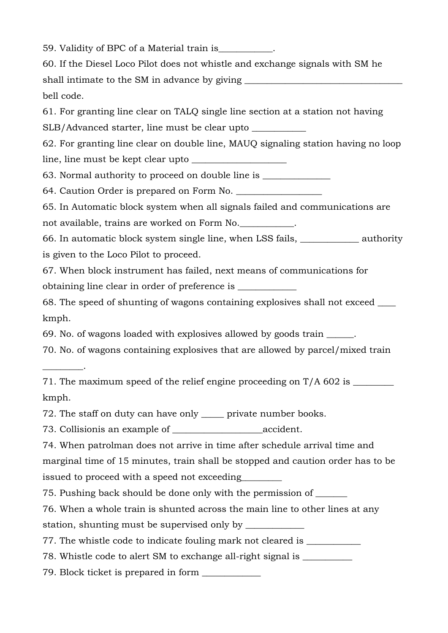59. Validity of BPC of a Material train is\_\_\_\_\_\_\_\_\_\_\_\_. 60. If the Diesel Loco Pilot does not whistle and exchange signals with SM he shall intimate to the SM in advance by giving bell code. 61. For granting line clear on TALQ single line section at a station not having SLB/Advanced starter, line must be clear upto 62. For granting line clear on double line, MAUQ signaling station having no loop line, line must be kept clear upto \_\_\_\_\_\_\_\_\_\_\_\_\_\_\_\_\_\_\_\_\_ 63. Normal authority to proceed on double line is \_\_\_\_\_\_\_\_\_\_\_\_\_\_\_ 64. Caution Order is prepared on Form No. 65. In Automatic block system when all signals failed and communications are not available, trains are worked on Form No. 66. In automatic block system single line, when LSS fails, \_\_\_\_\_\_\_\_\_\_\_\_\_ authority is given to the Loco Pilot to proceed. 67. When block instrument has failed, next means of communications for obtaining line clear in order of preference is \_\_\_\_\_\_\_\_\_\_\_\_\_ 68. The speed of shunting of wagons containing explosives shall not exceed \_\_\_\_ kmph. 69. No. of wagons loaded with explosives allowed by goods train \_\_\_\_\_\_. 70. No. of wagons containing explosives that are allowed by parcel/mixed train \_\_\_\_\_\_\_\_\_. 71. The maximum speed of the relief engine proceeding on T/A 602 is \_\_\_\_\_\_\_\_\_\_\_\_ kmph. 72. The staff on duty can have only \_\_\_\_\_ private number books. 73. Collisionis an example of \_\_\_\_\_\_\_\_\_\_\_\_\_\_\_\_\_\_\_\_accident. 74. When patrolman does not arrive in time after schedule arrival time and marginal time of 15 minutes, train shall be stopped and caution order has to be issued to proceed with a speed not exceeding 75. Pushing back should be done only with the permission of \_\_\_\_\_\_\_ 76. When a whole train is shunted across the main line to other lines at any station, shunting must be supervised only by 77. The whistle code to indicate fouling mark not cleared is \_\_\_\_\_\_\_\_\_\_\_\_\_\_\_\_\_\_\_ 78. Whistle code to alert SM to exchange all-right signal is \_\_\_\_\_\_\_\_\_\_\_\_\_\_\_\_\_\_\_ 79. Block ticket is prepared in form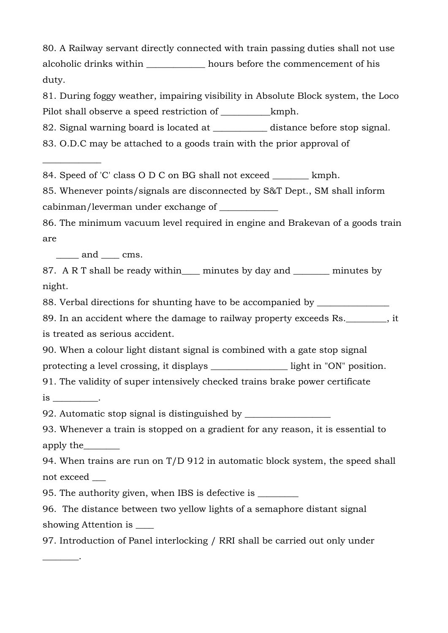80. A Railway servant directly connected with train passing duties shall not use alcoholic drinks within \_\_\_\_\_\_\_\_\_\_\_\_\_ hours before the commencement of his duty.

81. During foggy weather, impairing visibility in Absolute Block system, the Loco Pilot shall observe a speed restriction of  $\mu$  kmph.

82. Signal warning board is located at distance before stop signal.

83. O.D.C may be attached to a goods train with the prior approval of

84. Speed of 'C' class O D C on BG shall not exceed \_\_\_\_\_\_\_\_ kmph.

85. Whenever points/signals are disconnected by S&T Dept., SM shall inform cabinman/leverman under exchange of \_\_\_\_\_\_\_\_\_\_\_\_\_

86. The minimum vacuum level required in engine and Brakevan of a goods train are

\_\_\_\_\_ and \_\_\_\_ cms.

 $\overline{\phantom{a}}$  , where  $\overline{\phantom{a}}$ 

87. A R T shall be ready within minutes by day and minutes by night.

88. Verbal directions for shunting have to be accompanied by \_\_\_\_\_\_\_\_\_\_\_\_\_\_\_\_\_\_\_

89. In an accident where the damage to railway property exceeds Rs.  $\qquad \qquad$  . it is treated as serious accident.

90. When a colour light distant signal is combined with a gate stop signal protecting a level crossing, it displays \_\_\_\_\_\_\_\_\_\_\_\_\_\_\_\_\_ light in "ON" position.

91. The validity of super intensively checked trains brake power certificate

is \_\_\_\_\_\_\_\_\_\_.

\_\_\_\_\_\_\_\_.

92. Automatic stop signal is distinguished by

93. Whenever a train is stopped on a gradient for any reason, it is essential to apply the\_\_\_\_\_\_\_\_

94. When trains are run on T/D 912 in automatic block system, the speed shall not exceed \_\_\_

95. The authority given, when IBS is defective is

96. The distance between two yellow lights of a semaphore distant signal showing Attention is \_\_\_\_

97. Introduction of Panel interlocking / RRI shall be carried out only under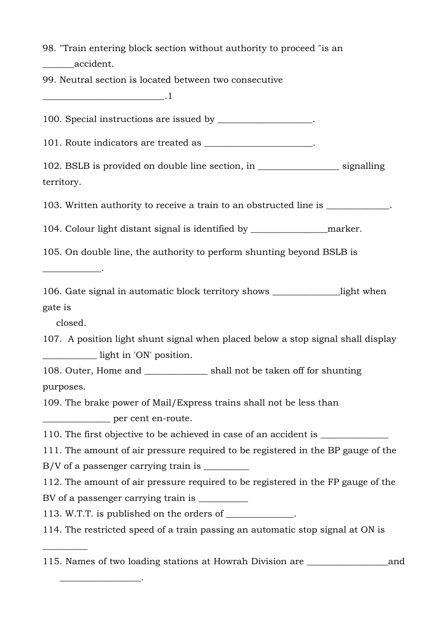98. "Train entering block section without authority to proceed "is an \_\_\_\_\_\_\_accident.

99. Neutral section is located between two consecutive

 $\blacksquare$ 

100. Special instructions are issued by \_\_\_\_\_\_\_\_\_\_\_\_\_\_\_\_\_\_\_\_\_.

101. Route indicators are treated as \_\_\_\_\_\_\_\_\_\_\_\_\_\_\_\_\_\_\_\_\_.

102. BSLB is provided on double line section, in \_\_\_\_\_\_\_\_\_\_\_\_\_\_\_\_\_\_ signalling territory.

103. Written authority to receive a train to an obstructed line is \_\_\_\_\_\_\_\_\_\_\_\_\_\_.

104. Colour light distant signal is identified by \_\_\_\_\_\_\_\_\_\_\_\_\_\_\_\_\_marker.

105. On double line, the authority to perform shunting beyond BSLB is

\_\_\_\_\_\_\_\_\_\_\_\_\_.

106. Gate signal in automatic block territory shows \_\_\_\_\_\_\_\_\_\_\_\_\_\_\_light when gate is

closed.

 $\overline{\phantom{a}}$ 

\_\_\_\_\_\_\_\_\_\_\_\_\_\_\_\_\_\_.

107. A position light shunt signal when placed below a stop signal shall display \_\_\_\_\_\_\_\_\_\_\_\_ light in 'ON' position.

108. Outer, Home and \_\_\_\_\_\_\_\_\_\_\_\_\_\_ shall not be taken off for shunting purposes.

109. The brake power of Mail/Express trains shall not be less than \_\_\_\_\_\_\_\_\_\_\_\_\_\_\_ per cent en-route.

110. The first objective to be achieved in case of an accident is

111. The amount of air pressure required to be registered in the BP gauge of the

 $B/V$  of a passenger carrying train is

112. The amount of air pressure required to be registered in the FP gauge of the BV of a passenger carrying train is

113. W.T.T. is published on the orders of  $\blacksquare$ 

114. The restricted speed of a train passing an automatic stop signal at ON is

115. Names of two loading stations at Howrah Division are \_\_\_\_\_\_\_\_\_\_\_\_\_\_\_\_\_\_and